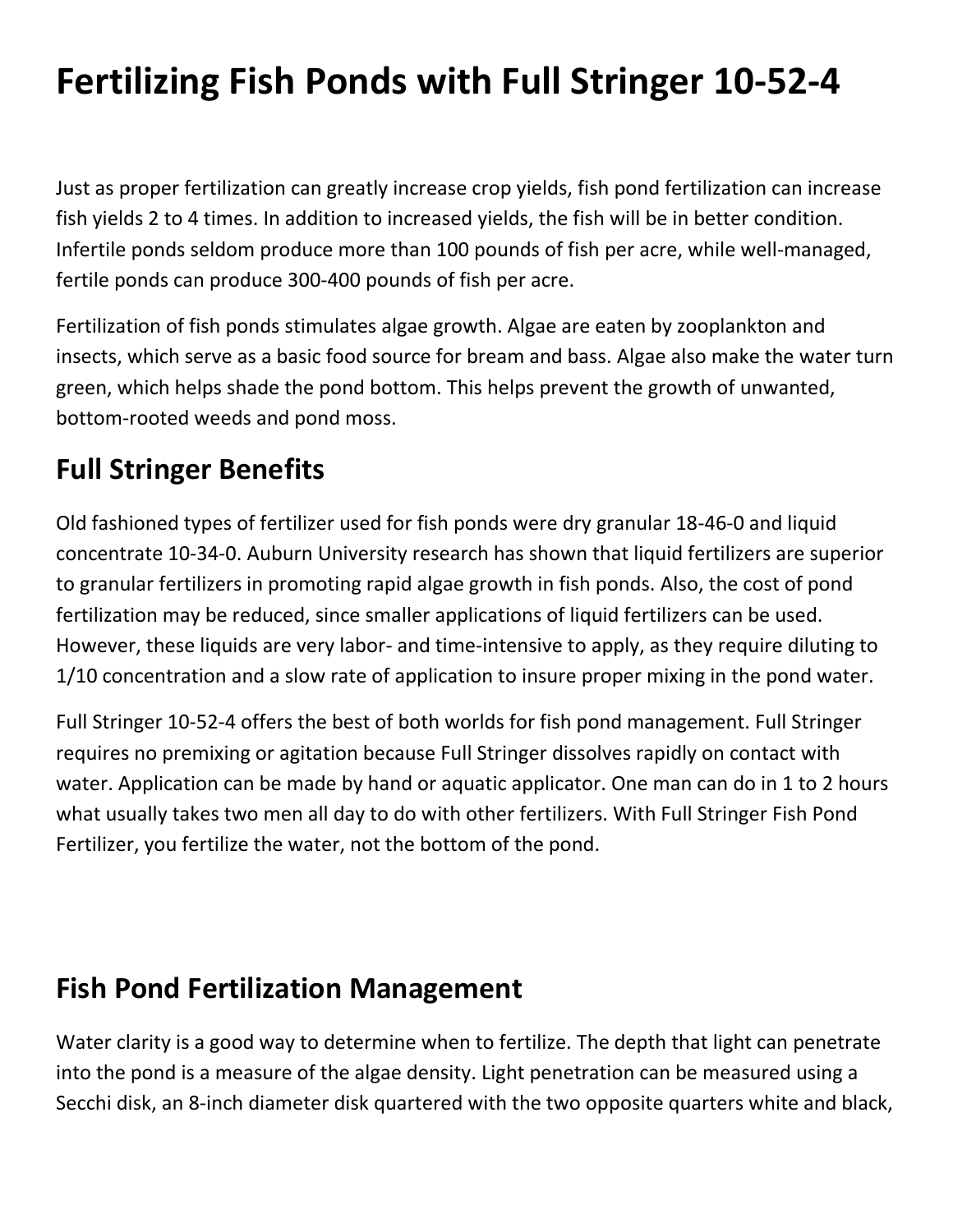# **Fertilizing Fish Ponds with Full Stringer 10-52-4**

Just as proper fertilization can greatly increase crop yields, fish pond fertilization can increase fish yields 2 to 4 times. In addition to increased yields, the fish will be in better condition. Infertile ponds seldom produce more than 100 pounds of fish per acre, while well-managed, fertile ponds can produce 300-400 pounds of fish per acre.

Fertilization of fish ponds stimulates algae growth. Algae are eaten by zooplankton and insects, which serve as a basic food source for bream and bass. Algae also make the water turn green, which helps shade the pond bottom. This helps prevent the growth of unwanted, bottom-rooted weeds and pond moss.

## **Full Stringer Benefits**

Old fashioned types of fertilizer used for fish ponds were dry granular 18-46-0 and liquid concentrate 10-34-0. Auburn University research has shown that liquid fertilizers are superior to granular fertilizers in promoting rapid algae growth in fish ponds. Also, the cost of pond fertilization may be reduced, since smaller applications of liquid fertilizers can be used. However, these liquids are very labor- and time-intensive to apply, as they require diluting to 1/10 concentration and a slow rate of application to insure proper mixing in the pond water.

Full Stringer 10-52-4 offers the best of both worlds for fish pond management. Full Stringer requires no premixing or agitation because Full Stringer dissolves rapidly on contact with water. Application can be made by hand or aquatic applicator. One man can do in 1 to 2 hours what usually takes two men all day to do with other fertilizers. With Full Stringer Fish Pond Fertilizer, you fertilize the water, not the bottom of the pond.

#### **Fish Pond Fertilization Management**

Water clarity is a good way to determine when to fertilize. The depth that light can penetrate into the pond is a measure of the algae density. Light penetration can be measured using a Secchi disk, an 8-inch diameter disk quartered with the two opposite quarters white and black,